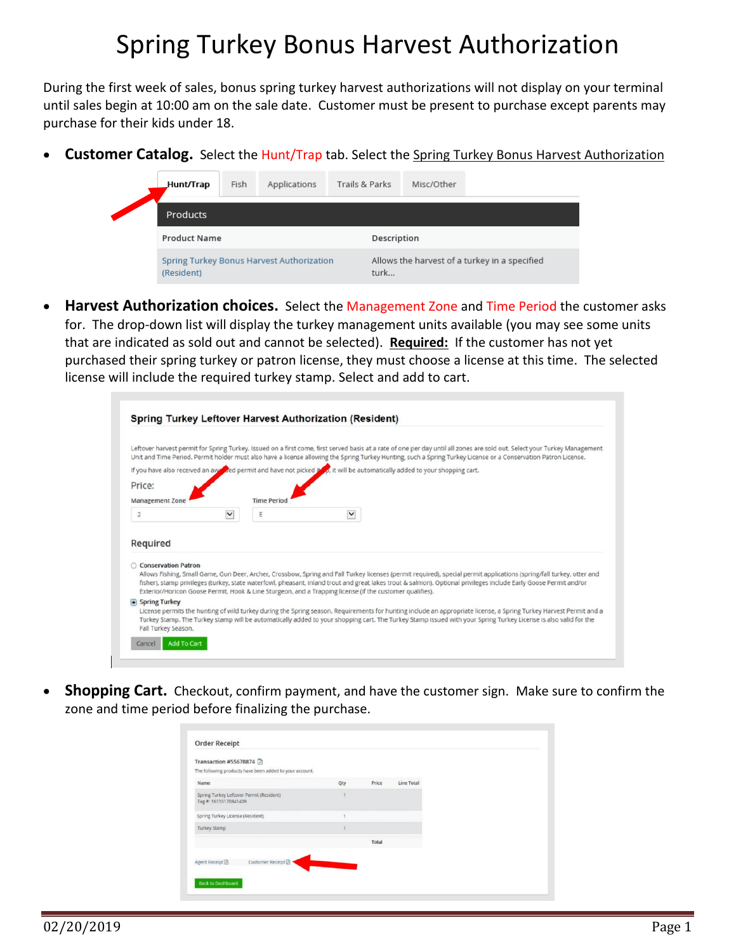# Spring Turkey Bonus Harvest Authorization

During the first week of sales, bonus spring turkey harvest authorizations will not display on your terminal until sales begin at 10:00 am on the sale date. Customer must be present to purchase except parents may purchase for their kids under 18.

• **Customer Catalog.** Select the Hunt/Trap tab. Select the Spring Turkey Bonus Harvest Authorization

| Hunt/Trap_          | Fish | Applications                              | Trails & Parks | Misc/Other |                                               |  |
|---------------------|------|-------------------------------------------|----------------|------------|-----------------------------------------------|--|
| Products            |      |                                           |                |            |                                               |  |
| <b>Product Name</b> |      |                                           | Description    |            |                                               |  |
| (Resident)          |      | Spring Turkey Bonus Harvest Authorization | turk           |            | Allows the harvest of a turkey in a specified |  |

• **Harvest Authorization choices.** Select the Management Zone and Time Period the customer asks for. The drop-down list will display the turkey management units available (you may see some units that are indicated as sold out and cannot be selected). **Required:** If the customer has not yet purchased their spring turkey or patron license, they must choose a license at this time. The selected license will include the required turkey stamp. Select and add to cart.

| Leftover harvest permit for Spring Turkey. Issued on a first come, first served basis at a rate of one per day until all zones are sold out. Select your Turkey Management<br>Unit and Time Period. Permit holder must also have a license allowing the Spring Turkey Hunting, such a Spring Turkey License or a Conservation Patron License. |              |                                                                                                                                                                                                                                                                                                                                                                                                                                                        |              |  |  |  |
|-----------------------------------------------------------------------------------------------------------------------------------------------------------------------------------------------------------------------------------------------------------------------------------------------------------------------------------------------|--------------|--------------------------------------------------------------------------------------------------------------------------------------------------------------------------------------------------------------------------------------------------------------------------------------------------------------------------------------------------------------------------------------------------------------------------------------------------------|--------------|--|--|--|
| If you have also received an available permit and have not picked if yo, it will be automatically added to your shopping cart.                                                                                                                                                                                                                |              |                                                                                                                                                                                                                                                                                                                                                                                                                                                        |              |  |  |  |
| Price:                                                                                                                                                                                                                                                                                                                                        |              |                                                                                                                                                                                                                                                                                                                                                                                                                                                        |              |  |  |  |
| <b>Management Zone</b>                                                                                                                                                                                                                                                                                                                        |              | <b>Time Period</b>                                                                                                                                                                                                                                                                                                                                                                                                                                     |              |  |  |  |
| $\overline{2}$                                                                                                                                                                                                                                                                                                                                | $\checkmark$ | Ε                                                                                                                                                                                                                                                                                                                                                                                                                                                      | $\checkmark$ |  |  |  |
| Required                                                                                                                                                                                                                                                                                                                                      |              |                                                                                                                                                                                                                                                                                                                                                                                                                                                        |              |  |  |  |
|                                                                                                                                                                                                                                                                                                                                               |              |                                                                                                                                                                                                                                                                                                                                                                                                                                                        |              |  |  |  |
| ○ Conservation Patron                                                                                                                                                                                                                                                                                                                         |              | Allows Fishing, Small Game, Gun Deer, Archer, Crossbow, Spring and Fall Turkey licenses (permit required), special permit applications (spring/fall turkey, otter and<br>fisher), stamp privileges (turkey, state waterfowl, pheasant, inland trout and great lakes trout & salmon). Optional privileges include Early Goose Permit and/or<br>Exterior/Horicon Goose Permit, Hook & Line Sturgeon, and a Trapping license (if the customer qualifies). |              |  |  |  |
| • Spring Turkey                                                                                                                                                                                                                                                                                                                               |              | License permits the hunting of wild turkey during the Spring season. Requirements for hunting include an appropriate license, a Spring Turkey Harvest Permit and a                                                                                                                                                                                                                                                                                     |              |  |  |  |

• **Shopping Cart.** Checkout, confirm payment, and have the customer sign. Make sure to confirm the zone and time period before finalizing the purchase.

| Transaction #55678874 A<br>The following products have been added to your account.<br>Name<br>Price<br>Line Total<br>Qty<br>Spring Turkey Leftover Permit (Resident)<br>Tag #: 16155170841409<br>Spring Turkey License (Resident)<br>Turkey Stamp<br>Total | <b>Order Receipt</b>     |  |  |
|------------------------------------------------------------------------------------------------------------------------------------------------------------------------------------------------------------------------------------------------------------|--------------------------|--|--|
|                                                                                                                                                                                                                                                            |                          |  |  |
|                                                                                                                                                                                                                                                            |                          |  |  |
|                                                                                                                                                                                                                                                            |                          |  |  |
|                                                                                                                                                                                                                                                            |                          |  |  |
|                                                                                                                                                                                                                                                            |                          |  |  |
|                                                                                                                                                                                                                                                            |                          |  |  |
|                                                                                                                                                                                                                                                            |                          |  |  |
|                                                                                                                                                                                                                                                            | <b>Back to Dashboard</b> |  |  |